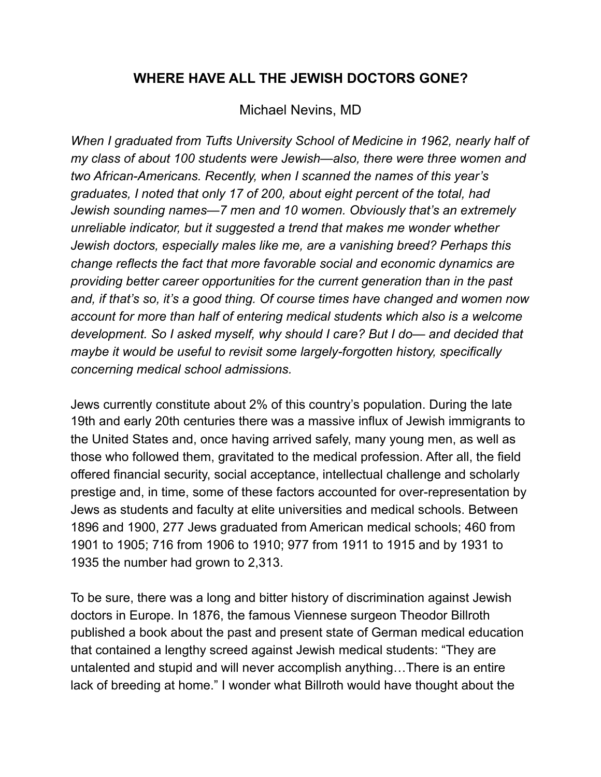## **WHERE HAVE ALL THE JEWISH DOCTORS GONE?**

## Michael Nevins, MD

*When I graduated from Tufts University School of Medicine in 1962, nearly half of my class of about 100 students were Jewish—also, there were three women and two African-Americans. Recently, when I scanned the names of this year's graduates, I noted that only 17 of 200, about eight percent of the total, had Jewish sounding names—7 men and 10 women. Obviously that's an extremely unreliable indicator, but it suggested a trend that makes me wonder whether Jewish doctors, especially males like me, are a vanishing breed? Perhaps this change reflects the fact that more favorable social and economic dynamics are providing better career opportunities for the current generation than in the past and, if that's so, it's a good thing. Of course times have changed and women now account for more than half of entering medical students which also is a welcome development. So I asked myself, why should I care? But I do— and decided that maybe it would be useful to revisit some largely-forgotten history, specifically concerning medical school admissions.* 

Jews currently constitute about 2% of this country's population. During the late 19th and early 20th centuries there was a massive influx of Jewish immigrants to the United States and, once having arrived safely, many young men, as well as those who followed them, gravitated to the medical profession. After all, the field offered financial security, social acceptance, intellectual challenge and scholarly prestige and, in time, some of these factors accounted for over-representation by Jews as students and faculty at elite universities and medical schools. Between 1896 and 1900, 277 Jews graduated from American medical schools; 460 from 1901 to 1905; 716 from 1906 to 1910; 977 from 1911 to 1915 and by 1931 to 1935 the number had grown to 2,313.

To be sure, there was a long and bitter history of discrimination against Jewish doctors in Europe. In 1876, the famous Viennese surgeon Theodor Billroth published a book about the past and present state of German medical education that contained a lengthy screed against Jewish medical students: "They are untalented and stupid and will never accomplish anything…There is an entire lack of breeding at home." I wonder what Billroth would have thought about the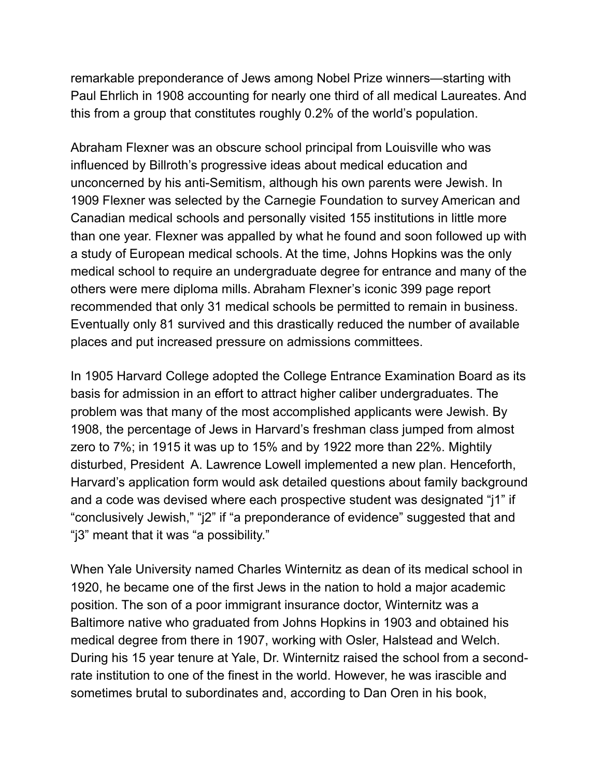remarkable preponderance of Jews among Nobel Prize winners—starting with Paul Ehrlich in 1908 accounting for nearly one third of all medical Laureates. And this from a group that constitutes roughly 0.2% of the world's population.

Abraham Flexner was an obscure school principal from Louisville who was influenced by Billroth's progressive ideas about medical education and unconcerned by his anti-Semitism, although his own parents were Jewish. In 1909 Flexner was selected by the Carnegie Foundation to survey American and Canadian medical schools and personally visited 155 institutions in little more than one year. Flexner was appalled by what he found and soon followed up with a study of European medical schools. At the time, Johns Hopkins was the only medical school to require an undergraduate degree for entrance and many of the others were mere diploma mills. Abraham Flexner's iconic 399 page report recommended that only 31 medical schools be permitted to remain in business. Eventually only 81 survived and this drastically reduced the number of available places and put increased pressure on admissions committees.

In 1905 Harvard College adopted the College Entrance Examination Board as its basis for admission in an effort to attract higher caliber undergraduates. The problem was that many of the most accomplished applicants were Jewish. By 1908, the percentage of Jews in Harvard's freshman class jumped from almost zero to 7%; in 1915 it was up to 15% and by 1922 more than 22%. Mightily disturbed, President A. Lawrence Lowell implemented a new plan. Henceforth, Harvard's application form would ask detailed questions about family background and a code was devised where each prospective student was designated "j1" if "conclusively Jewish," "j2" if "a preponderance of evidence" suggested that and "j3" meant that it was "a possibility."

When Yale University named Charles Winternitz as dean of its medical school in 1920, he became one of the first Jews in the nation to hold a major academic position. The son of a poor immigrant insurance doctor, Winternitz was a Baltimore native who graduated from Johns Hopkins in 1903 and obtained his medical degree from there in 1907, working with Osler, Halstead and Welch. During his 15 year tenure at Yale, Dr. Winternitz raised the school from a secondrate institution to one of the finest in the world. However, he was irascible and sometimes brutal to subordinates and, according to Dan Oren in his book,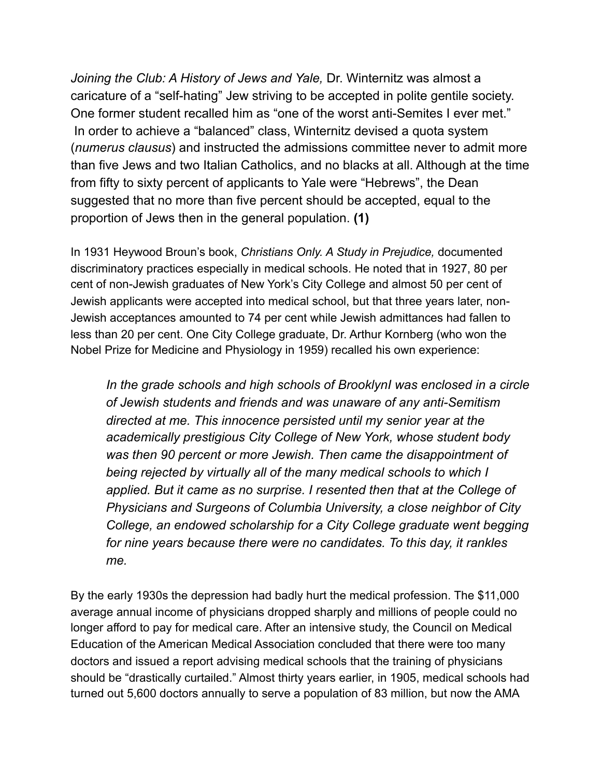*Joining the Club: A History of Jews and Yale,* Dr. Winternitz was almost a caricature of a "self-hating" Jew striving to be accepted in polite gentile society. One former student recalled him as "one of the worst anti-Semites I ever met." In order to achieve a "balanced" class, Winternitz devised a quota system (*numerus clausus*) and instructed the admissions committee never to admit more than five Jews and two Italian Catholics, and no blacks at all. Although at the time from fifty to sixty percent of applicants to Yale were "Hebrews", the Dean suggested that no more than five percent should be accepted, equal to the proportion of Jews then in the general population. **(1)**

In 1931 Heywood Broun's book, *Christians Only. A Study in Prejudice,* documented discriminatory practices especially in medical schools. He noted that in 1927, 80 per cent of non-Jewish graduates of New York's City College and almost 50 per cent of Jewish applicants were accepted into medical school, but that three years later, non-Jewish acceptances amounted to 74 per cent while Jewish admittances had fallen to less than 20 per cent. One City College graduate, Dr. Arthur Kornberg (who won the Nobel Prize for Medicine and Physiology in 1959) recalled his own experience:

 *In the grade schools and high schools of BrooklynI was enclosed in a circle of Jewish students and friends and was unaware of any anti-Semitism directed at me. This innocence persisted until my senior year at the academically prestigious City College of New York, whose student body was then 90 percent or more Jewish. Then came the disappointment of being rejected by virtually all of the many medical schools to which I applied. But it came as no surprise. I resented then that at the College of Physicians and Surgeons of Columbia University, a close neighbor of City College, an endowed scholarship for a City College graduate went begging for nine years because there were no candidates. To this day, it rankles me.* 

By the early 1930s the depression had badly hurt the medical profession. The \$11,000 average annual income of physicians dropped sharply and millions of people could no longer afford to pay for medical care. After an intensive study, the Council on Medical Education of the American Medical Association concluded that there were too many doctors and issued a report advising medical schools that the training of physicians should be "drastically curtailed." Almost thirty years earlier, in 1905, medical schools had turned out 5,600 doctors annually to serve a population of 83 million, but now the AMA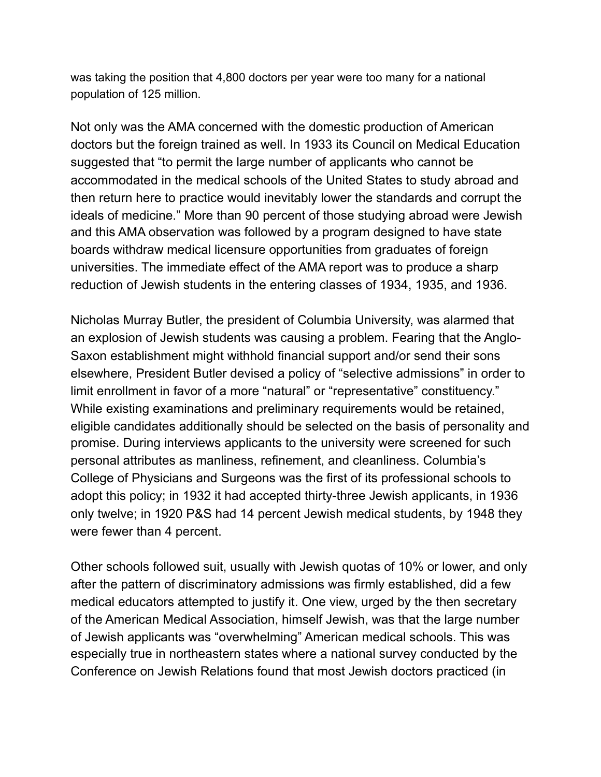was taking the position that 4,800 doctors per year were too many for a national population of 125 million.

Not only was the AMA concerned with the domestic production of American doctors but the foreign trained as well. In 1933 its Council on Medical Education suggested that "to permit the large number of applicants who cannot be accommodated in the medical schools of the United States to study abroad and then return here to practice would inevitably lower the standards and corrupt the ideals of medicine." More than 90 percent of those studying abroad were Jewish and this AMA observation was followed by a program designed to have state boards withdraw medical licensure opportunities from graduates of foreign universities. The immediate effect of the AMA report was to produce a sharp reduction of Jewish students in the entering classes of 1934, 1935, and 1936.

Nicholas Murray Butler, the president of Columbia University, was alarmed that an explosion of Jewish students was causing a problem. Fearing that the Anglo-Saxon establishment might withhold financial support and/or send their sons elsewhere, President Butler devised a policy of "selective admissions" in order to limit enrollment in favor of a more "natural" or "representative" constituency." While existing examinations and preliminary requirements would be retained, eligible candidates additionally should be selected on the basis of personality and promise. During interviews applicants to the university were screened for such personal attributes as manliness, refinement, and cleanliness. Columbia's College of Physicians and Surgeons was the first of its professional schools to adopt this policy; in 1932 it had accepted thirty-three Jewish applicants, in 1936 only twelve; in 1920 P&S had 14 percent Jewish medical students, by 1948 they were fewer than 4 percent.

Other schools followed suit, usually with Jewish quotas of 10% or lower, and only after the pattern of discriminatory admissions was firmly established, did a few medical educators attempted to justify it. One view, urged by the then secretary of the American Medical Association, himself Jewish, was that the large number of Jewish applicants was "overwhelming" American medical schools. This was especially true in northeastern states where a national survey conducted by the Conference on Jewish Relations found that most Jewish doctors practiced (in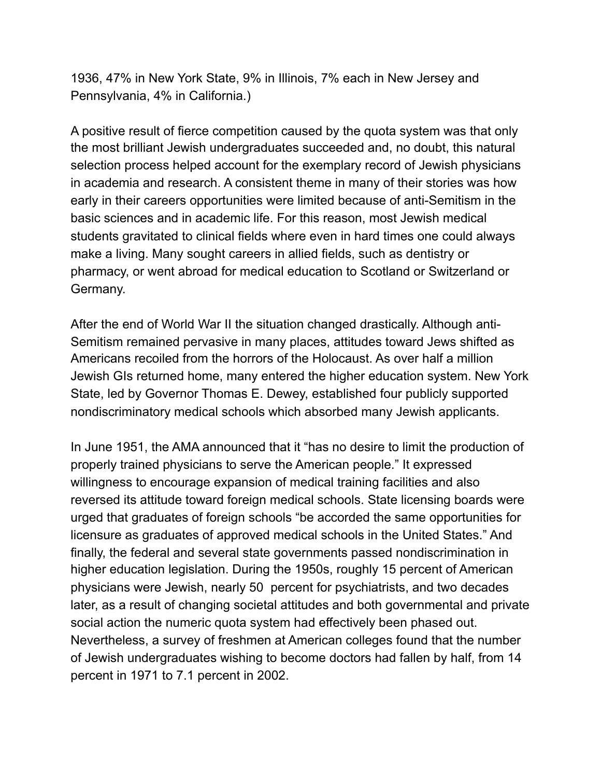1936, 47% in New York State, 9% in Illinois, 7% each in New Jersey and Pennsylvania, 4% in California.)

A positive result of fierce competition caused by the quota system was that only the most brilliant Jewish undergraduates succeeded and, no doubt, this natural selection process helped account for the exemplary record of Jewish physicians in academia and research. A consistent theme in many of their stories was how early in their careers opportunities were limited because of anti-Semitism in the basic sciences and in academic life. For this reason, most Jewish medical students gravitated to clinical fields where even in hard times one could always make a living. Many sought careers in allied fields, such as dentistry or pharmacy, or went abroad for medical education to Scotland or Switzerland or Germany.

After the end of World War II the situation changed drastically. Although anti-Semitism remained pervasive in many places, attitudes toward Jews shifted as Americans recoiled from the horrors of the Holocaust. As over half a million Jewish GIs returned home, many entered the higher education system. New York State, led by Governor Thomas E. Dewey, established four publicly supported nondiscriminatory medical schools which absorbed many Jewish applicants.

In June 1951, the AMA announced that it "has no desire to limit the production of properly trained physicians to serve the American people." It expressed willingness to encourage expansion of medical training facilities and also reversed its attitude toward foreign medical schools. State licensing boards were urged that graduates of foreign schools "be accorded the same opportunities for licensure as graduates of approved medical schools in the United States." And finally, the federal and several state governments passed nondiscrimination in higher education legislation. During the 1950s, roughly 15 percent of American physicians were Jewish, nearly 50 percent for psychiatrists, and two decades later, as a result of changing societal attitudes and both governmental and private social action the numeric quota system had effectively been phased out. Nevertheless, a survey of freshmen at American colleges found that the number of Jewish undergraduates wishing to become doctors had fallen by half, from 14 percent in 1971 to 7.1 percent in 2002.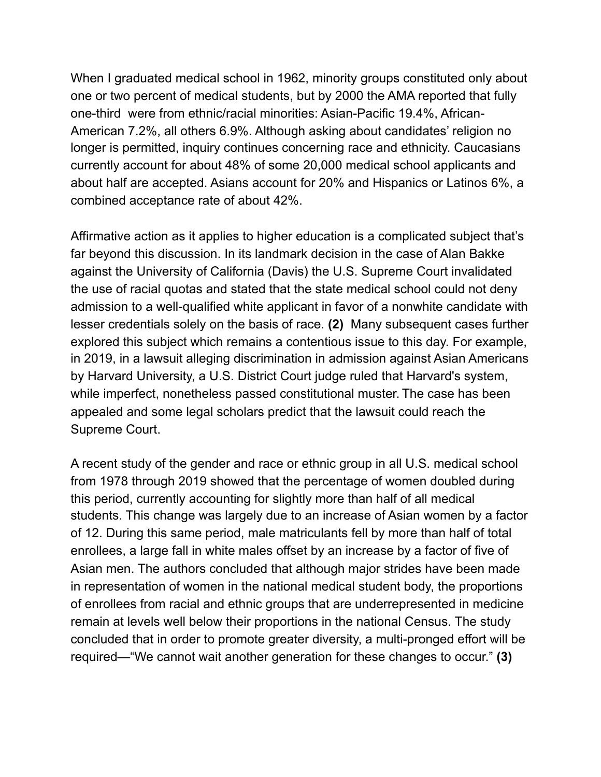When I graduated medical school in 1962, minority groups constituted only about one or two percent of medical students, but by 2000 the AMA reported that fully one-third were from ethnic/racial minorities: Asian-Pacific 19.4%, African-American 7.2%, all others 6.9%. Although asking about candidates' religion no longer is permitted, inquiry continues concerning race and ethnicity. Caucasians currently account for about 48% of some 20,000 medical school applicants and about half are accepted. Asians account for 20% and Hispanics or Latinos 6%, a combined acceptance rate of about 42%.

Affirmative action as it applies to higher education is a complicated subject that's far beyond this discussion. In its landmark decision in the case of Alan Bakke against the University of California (Davis) the U.S. Supreme Court invalidated the use of racial quotas and stated that the state medical school could not deny admission to a well-qualified white applicant in favor of a nonwhite candidate with lesser credentials solely on the basis of race. **(2)** Many subsequent cases further explored this subject which remains a contentious issue to this day. For example, in 2019, in a lawsuit alleging discrimination in admission against Asian Americans by Harvard University, a U.S. District Court judge ruled that Harvard's system, while imperfect, nonetheless passed constitutional muster. The case has been appealed and some legal scholars predict that the lawsuit could reach the Supreme Court.

A recent study of the gender and race or ethnic group in all U.S. medical school from 1978 through 2019 showed that the percentage of women doubled during this period, currently accounting for slightly more than half of all medical students. This change was largely due to an increase of Asian women by a factor of 12. During this same period, male matriculants fell by more than half of total enrollees, a large fall in white males offset by an increase by a factor of five of Asian men. The authors concluded that although major strides have been made in representation of women in the national medical student body, the proportions of enrollees from racial and ethnic groups that are underrepresented in medicine remain at levels well below their proportions in the national Census. The study concluded that in order to promote greater diversity, a multi-pronged effort will be required—"We cannot wait another generation for these changes to occur." **(3)**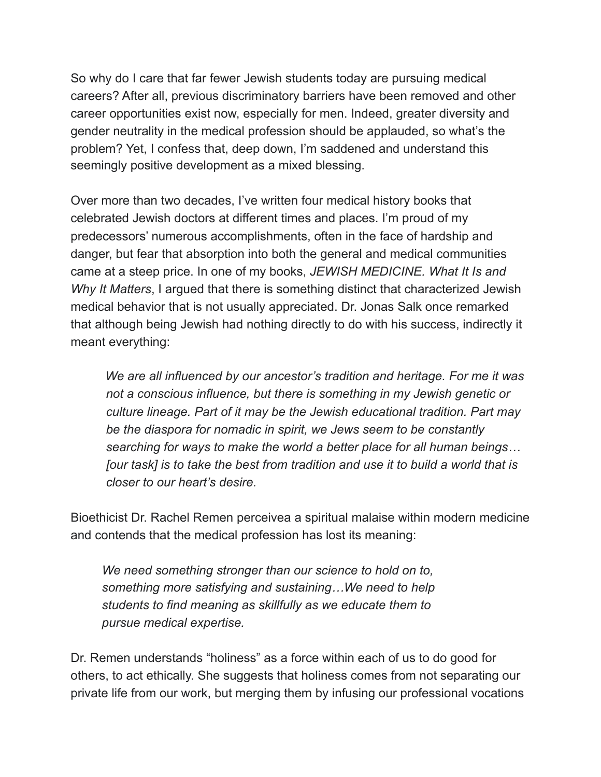So why do I care that far fewer Jewish students today are pursuing medical careers? After all, previous discriminatory barriers have been removed and other career opportunities exist now, especially for men. Indeed, greater diversity and gender neutrality in the medical profession should be applauded, so what's the problem? Yet, I confess that, deep down, I'm saddened and understand this seemingly positive development as a mixed blessing.

Over more than two decades, I've written four medical history books that celebrated Jewish doctors at different times and places. I'm proud of my predecessors' numerous accomplishments, often in the face of hardship and danger, but fear that absorption into both the general and medical communities came at a steep price. In one of my books, *JEWISH MEDICINE. What It Is and Why It Matters*, I argued that there is something distinct that characterized Jewish medical behavior that is not usually appreciated. Dr. Jonas Salk once remarked that although being Jewish had nothing directly to do with his success, indirectly it meant everything:

 *We are all influenced by our ancestor's tradition and heritage. For me it was not a conscious influence, but there is something in my Jewish genetic or culture lineage. Part of it may be the Jewish educational tradition. Part may be the diaspora for nomadic in spirit, we Jews seem to be constantly searching for ways to make the world a better place for all human beings… [our task] is to take the best from tradition and use it to build a world that is closer to our heart's desire.* 

Bioethicist Dr. Rachel Remen perceivea a spiritual malaise within modern medicine and contends that the medical profession has lost its meaning:

 *We need something stronger than our science to hold on to, something more satisfying and sustaining…We need to help students to find meaning as skillfully as we educate them to pursue medical expertise.* 

Dr. Remen understands "holiness" as a force within each of us to do good for others, to act ethically. She suggests that holiness comes from not separating our private life from our work, but merging them by infusing our professional vocations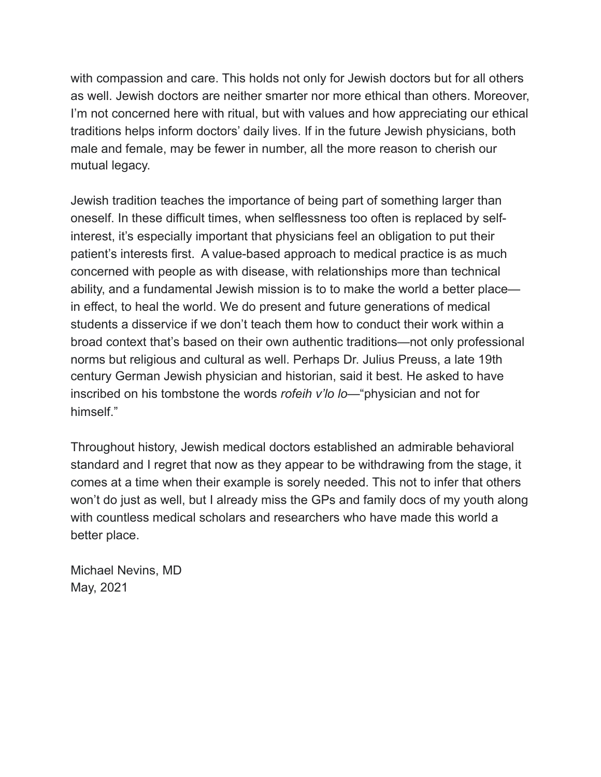with compassion and care. This holds not only for Jewish doctors but for all others as well. Jewish doctors are neither smarter nor more ethical than others. Moreover, I'm not concerned here with ritual, but with values and how appreciating our ethical traditions helps inform doctors' daily lives. If in the future Jewish physicians, both male and female, may be fewer in number, all the more reason to cherish our mutual legacy.

Jewish tradition teaches the importance of being part of something larger than oneself. In these difficult times, when selflessness too often is replaced by selfinterest, it's especially important that physicians feel an obligation to put their patient's interests first. A value-based approach to medical practice is as much concerned with people as with disease, with relationships more than technical ability, and a fundamental Jewish mission is to to make the world a better place in effect, to heal the world. We do present and future generations of medical students a disservice if we don't teach them how to conduct their work within a broad context that's based on their own authentic traditions—not only professional norms but religious and cultural as well. Perhaps Dr. Julius Preuss, a late 19th century German Jewish physician and historian, said it best. He asked to have inscribed on his tombstone the words *rofeih v'lo lo*—"physician and not for himself."

Throughout history, Jewish medical doctors established an admirable behavioral standard and I regret that now as they appear to be withdrawing from the stage, it comes at a time when their example is sorely needed. This not to infer that others won't do just as well, but I already miss the GPs and family docs of my youth along with countless medical scholars and researchers who have made this world a better place.

Michael Nevins, MD May, 2021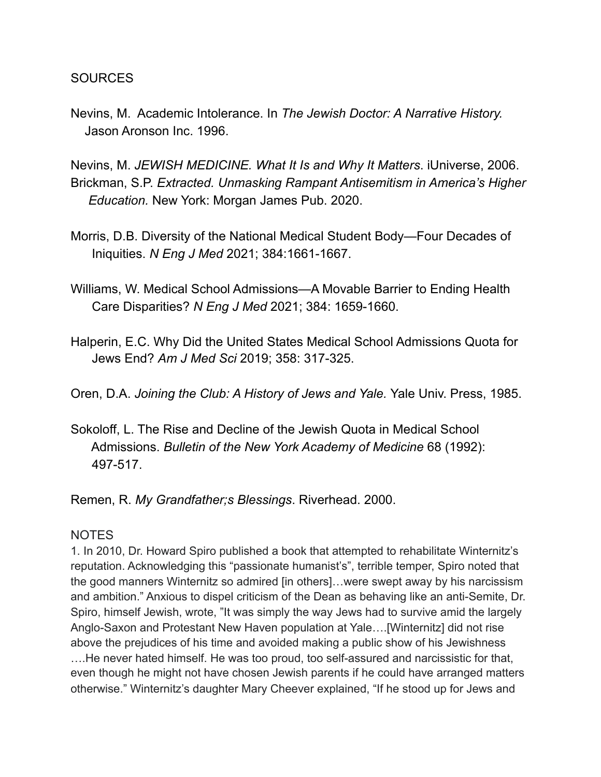**SOURCES** 

Nevins, M. Academic Intolerance. In *The Jewish Doctor: A Narrative History.* Jason Aronson Inc. 1996.

Nevins, M. *JEWISH MEDICINE. What It Is and Why It Matters*. iUniverse, 2006. Brickman, S.P. *Extracted. Unmasking Rampant Antisemitism in America's Higher Education.* New York: Morgan James Pub. 2020.

- Morris, D.B. Diversity of the National Medical Student Body—Four Decades of Iniquities. *N Eng J Med* 2021; 384:1661-1667.
- Williams, W. Medical School Admissions—A Movable Barrier to Ending Health Care Disparities? *N Eng J Med* 2021; 384: 1659-1660.
- Halperin, E.C. Why Did the United States Medical School Admissions Quota for Jews End? *Am J Med Sci* 2019; 358: 317-325.
- Oren, D.A. *Joining the Club: A History of Jews and Yale.* Yale Univ. Press, 1985.
- Sokoloff, L. The Rise and Decline of the Jewish Quota in Medical School Admissions. *Bulletin of the New York Academy of Medicine* 68 (1992): 497-517.

Remen, R. *My Grandfather;s Blessings*. Riverhead. 2000.

## **NOTES**

1. In 2010, Dr. Howard Spiro published a book that attempted to rehabilitate Winternitz's reputation. Acknowledging this "passionate humanist's", terrible temper, Spiro noted that the good manners Winternitz so admired [in others]…were swept away by his narcissism and ambition." Anxious to dispel criticism of the Dean as behaving like an anti-Semite, Dr. Spiro, himself Jewish, wrote, "It was simply the way Jews had to survive amid the largely Anglo-Saxon and Protestant New Haven population at Yale….[Winternitz] did not rise above the prejudices of his time and avoided making a public show of his Jewishness ….He never hated himself. He was too proud, too self-assured and narcissistic for that, even though he might not have chosen Jewish parents if he could have arranged matters otherwise." Winternitz's daughter Mary Cheever explained, "If he stood up for Jews and